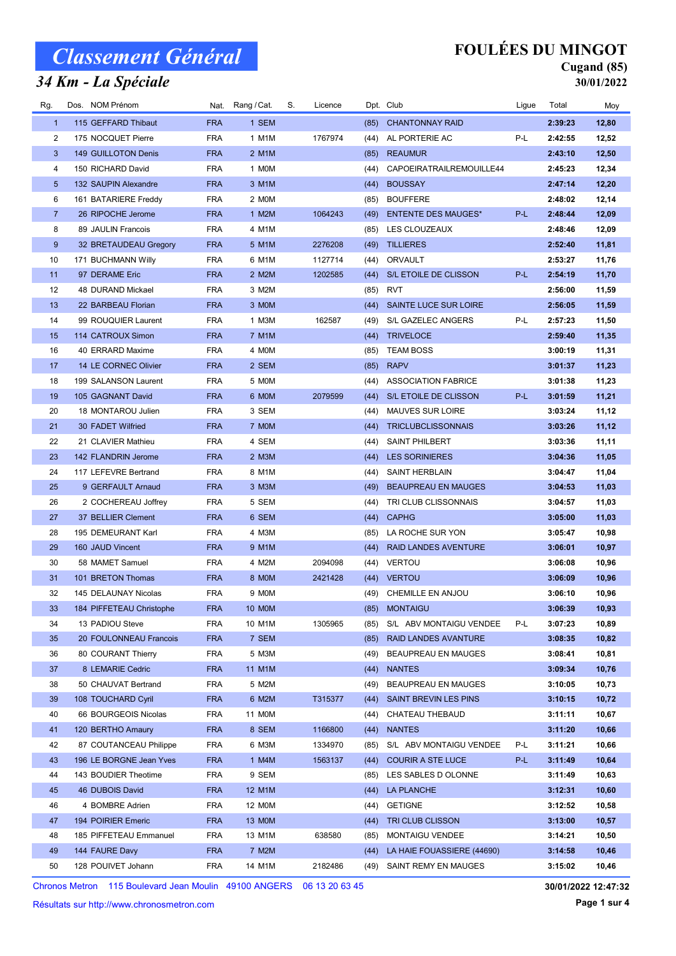#### 34 Km - La Spéciale

## FOULÉES DU MINGOT

#### Cugand (85) 30/01/2022

| Rg.             | Dos. NOM Prénom          |            | Nat. Rang / Cat. | S. | Licence |      | Dpt. Club                   | Ligue | Total   | Moy   |
|-----------------|--------------------------|------------|------------------|----|---------|------|-----------------------------|-------|---------|-------|
| $\mathbf{1}$    | 115 GEFFARD Thibaut      | <b>FRA</b> | 1 SEM            |    |         | (85) | <b>CHANTONNAY RAID</b>      |       | 2:39:23 | 12,80 |
| 2               | 175 NOCQUET Pierre       | <b>FRA</b> | 1 M1M            |    | 1767974 | (44) | AL PORTERIE AC              | P-L   | 2:42:55 | 12,52 |
| 3               | 149 GUILLOTON Denis      | <b>FRA</b> | 2 M1M            |    |         | (85) | <b>REAUMUR</b>              |       | 2:43:10 | 12,50 |
| 4               | 150 RICHARD David        | <b>FRA</b> | 1 MOM            |    |         | (44) | CAPOEIRATRAILREMOUILLE44    |       | 2:45:23 | 12,34 |
| $5\phantom{.0}$ | 132 SAUPIN Alexandre     | <b>FRA</b> | 3 M1M            |    |         | (44) | <b>BOUSSAY</b>              |       | 2:47:14 | 12,20 |
| 6               | 161 BATARIERE Freddy     | <b>FRA</b> | 2 MOM            |    |         | (85) | <b>BOUFFERE</b>             |       | 2:48:02 | 12,14 |
| $\overline{7}$  | 26 RIPOCHE Jerome        | <b>FRA</b> | 1 M2M            |    | 1064243 | (49) | <b>ENTENTE DES MAUGES*</b>  | P-L   | 2:48:44 | 12,09 |
| 8               | 89 JAULIN Francois       | <b>FRA</b> | 4 M1M            |    |         | (85) | LES CLOUZEAUX               |       | 2:48:46 | 12,09 |
| 9               | 32 BRETAUDEAU Gregory    | <b>FRA</b> | 5 M1M            |    | 2276208 | (49) | <b>TILLIERES</b>            |       | 2:52:40 | 11,81 |
| 10              | 171 BUCHMANN Willy       | <b>FRA</b> | 6 M1M            |    | 1127714 | (44) | ORVAULT                     |       | 2:53:27 | 11,76 |
| 11              | 97 DERAME Eric           | <b>FRA</b> | 2 M2M            |    | 1202585 | (44) | S/L ETOILE DE CLISSON       | P-L   | 2:54:19 | 11,70 |
| 12              | 48 DURAND Mickael        | <b>FRA</b> | 3 M2M            |    |         | (85) | RVT                         |       | 2:56:00 | 11,59 |
| 13              | 22 BARBEAU Florian       | <b>FRA</b> | 3 MOM            |    |         | (44) | SAINTE LUCE SUR LOIRE       |       | 2:56:05 | 11,59 |
| 14              | 99 ROUQUIER Laurent      | <b>FRA</b> | 1 M3M            |    | 162587  | (49) | S/L GAZELEC ANGERS          | P-L   | 2:57:23 | 11,50 |
| 15              | 114 CATROUX Simon        | <b>FRA</b> | 7 M1M            |    |         |      | (44) TRIVELOCE              |       | 2:59:40 | 11,35 |
| 16              | 40 ERRARD Maxime         | <b>FRA</b> | 4 MOM            |    |         | (85) | <b>TEAM BOSS</b>            |       | 3:00:19 | 11,31 |
| 17              | 14 LE CORNEC Olivier     | <b>FRA</b> | 2 SEM            |    |         | (85) | <b>RAPV</b>                 |       | 3:01:37 | 11,23 |
| 18              | 199 SALANSON Laurent     | <b>FRA</b> | 5 MOM            |    |         | (44) | <b>ASSOCIATION FABRICE</b>  |       | 3:01:38 | 11,23 |
| 19              | 105 GAGNANT David        | <b>FRA</b> | 6 MOM            |    | 2079599 | (44) | S/L ETOILE DE CLISSON       | P-L   | 3:01:59 | 11,21 |
| 20              | 18 MONTAROU Julien       | <b>FRA</b> | 3 SEM            |    |         | (44) | <b>MAUVES SUR LOIRE</b>     |       | 3:03:24 | 11,12 |
| 21              | 30 FADET Wilfried        | <b>FRA</b> | 7 MOM            |    |         | (44) | <b>TRICLUBCLISSONNAIS</b>   |       | 3:03:26 | 11,12 |
| 22              | 21 CLAVIER Mathieu       | <b>FRA</b> | 4 SEM            |    |         | (44) | <b>SAINT PHILBERT</b>       |       | 3:03:36 | 11,11 |
| 23              | 142 FLANDRIN Jerome      | <b>FRA</b> | 2 M3M            |    |         | (44) | <b>LES SORINIERES</b>       |       | 3:04:36 | 11,05 |
| 24              | 117 LEFEVRE Bertrand     | <b>FRA</b> | 8 M1M            |    |         | (44) | SAINT HERBLAIN              |       | 3:04:47 | 11,04 |
| 25              | 9 GERFAULT Arnaud        | <b>FRA</b> | 3 M3M            |    |         | (49) | <b>BEAUPREAU EN MAUGES</b>  |       | 3:04:53 | 11,03 |
| 26              | 2 COCHEREAU Joffrey      | <b>FRA</b> | 5 SEM            |    |         | (44) | TRI CLUB CLISSONNAIS        |       | 3:04:57 | 11,03 |
| 27              | 37 BELLIER Clement       | <b>FRA</b> | 6 SEM            |    |         | (44) | <b>CAPHG</b>                |       | 3:05:00 | 11,03 |
| 28              | 195 DEMEURANT Karl       | <b>FRA</b> | 4 M3M            |    |         | (85) | LA ROCHE SUR YON            |       | 3:05:47 | 10,98 |
| 29              | 160 JAUD Vincent         | <b>FRA</b> | 9 M1M            |    |         | (44) | <b>RAID LANDES AVENTURE</b> |       | 3:06:01 | 10,97 |
| 30              | 58 MAMET Samuel          | <b>FRA</b> | 4 M2M            |    | 2094098 | (44) | VERTOU                      |       | 3:06:08 | 10,96 |
| 31              | 101 BRETON Thomas        | <b>FRA</b> | 8 MOM            |    | 2421428 |      | (44) VERTOU                 |       | 3:06:09 | 10,96 |
| 32              | 145 DELAUNAY Nicolas     | <b>FRA</b> | 9 MOM            |    |         | (49) | CHEMILLE EN ANJOU           |       | 3:06:10 | 10,96 |
| 33              | 184 PIFFETEAU Christophe | <b>FRA</b> | <b>10 MOM</b>    |    |         |      | (85) MONTAIGU               |       | 3:06:39 | 10,93 |
| 34              | 13 PADIOU Steve          | FRA        | 10 M1M           |    | 1305965 | (85) | S/L ABV MONTAIGU VENDEE     | P-L   | 3:07:23 | 10,89 |
| 35              | 20 FOULONNEAU Francois   | <b>FRA</b> | 7 SEM            |    |         | (85) | RAID LANDES AVANTURE        |       | 3:08:35 | 10,82 |
| 36              | 80 COURANT Thierry       | <b>FRA</b> | 5 M3M            |    |         | (49) | BEAUPREAU EN MAUGES         |       | 3:08:41 | 10,81 |
| 37              | 8 LEMARIE Cedric         | <b>FRA</b> | 11 M1M           |    |         | (44) | <b>NANTES</b>               |       | 3:09:34 | 10,76 |
| 38              | 50 CHAUVAT Bertrand      | <b>FRA</b> | 5 M2M            |    |         | (49) | BEAUPREAU EN MAUGES         |       | 3:10:05 | 10,73 |
| 39              | 108 TOUCHARD Cyril       | <b>FRA</b> | 6 M2M            |    | T315377 | (44) | SAINT BREVIN LES PINS       |       | 3:10:15 | 10,72 |
| 40              | 66 BOURGEOIS Nicolas     | FRA        | 11 M0M           |    |         | (44) | CHATEAU THEBAUD             |       | 3:11:11 | 10,67 |
| 41              | 120 BERTHO Amaury        | <b>FRA</b> | 8 SEM            |    | 1166800 | (44) | <b>NANTES</b>               |       | 3:11:20 | 10,66 |
| 42              | 87 COUTANCEAU Philippe   | <b>FRA</b> | 6 M3M            |    | 1334970 | (85) | S/L ABV MONTAIGU VENDEE     | P-L   | 3:11:21 | 10,66 |
| 43              | 196 LE BORGNE Jean Yves  | <b>FRA</b> | 1 M4M            |    | 1563137 | (44) | <b>COURIR A STE LUCE</b>    | P-L   | 3:11:49 | 10,64 |
| 44              | 143 BOUDIER Theotime     | FRA        | 9 SEM            |    |         | (85) | LES SABLES D OLONNE         |       | 3:11:49 | 10,63 |
| 45              | 46 DUBOIS David          | <b>FRA</b> | 12 M1M           |    |         | (44) | LA PLANCHE                  |       | 3:12:31 | 10,60 |
| 46              | 4 BOMBRE Adrien          | FRA        | 12 M0M           |    |         | (44) | <b>GETIGNE</b>              |       | 3:12:52 | 10,58 |
| 47              | 194 POIRIER Emeric       | <b>FRA</b> | <b>13 MOM</b>    |    |         | (44) | TRI CLUB CLISSON            |       | 3:13:00 | 10,57 |
| 48              | 185 PIFFETEAU Emmanuel   | <b>FRA</b> | 13 M1M           |    | 638580  | (85) | <b>MONTAIGU VENDEE</b>      |       | 3:14:21 | 10,50 |
| 49              | 144 FAURE Davy           | <b>FRA</b> | 7 M2M            |    |         | (44) | LA HAIE FOUASSIERE (44690)  |       | 3:14:58 | 10,46 |
| 50              | 128 POUIVET Johann       | FRA        | 14 M1M           |    | 2182486 | (49) | SAINT REMY EN MAUGES        |       | 3:15:02 | 10,46 |

Chronos Metron 115 Boulevard Jean Moulin 49100 ANGERS 06 13 20 63 45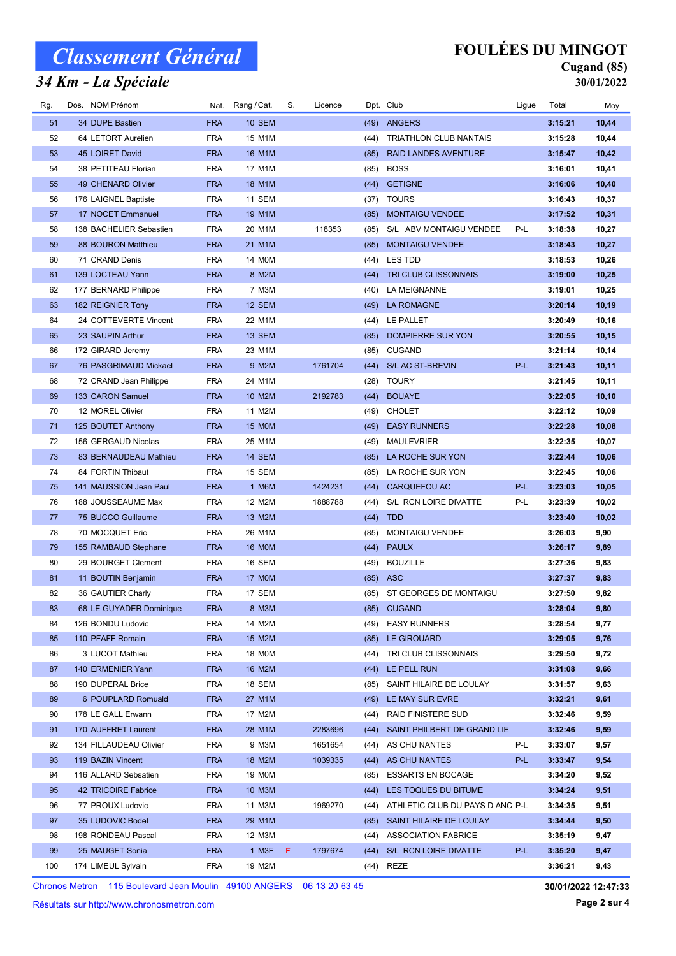#### 34 Km - La Spéciale

## FOULÉES DU MINGOT

#### Cugand (85) 30/01/2022

| Rg. | Dos. NOM Prénom         |            | Nat. Rang / Cat. | S. | Licence |      | Dpt. Club                       | Ligue | Total   | Moy    |
|-----|-------------------------|------------|------------------|----|---------|------|---------------------------------|-------|---------|--------|
| 51  | 34 DUPE Bastien         | <b>FRA</b> | <b>10 SEM</b>    |    |         | (49) | ANGERS                          |       | 3:15:21 | 10,44  |
| 52  | 64 LETORT Aurelien      | <b>FRA</b> | 15 M1M           |    |         | (44) | TRIATHLON CLUB NANTAIS          |       | 3:15:28 | 10,44  |
| 53  | 45 LOIRET David         | <b>FRA</b> | 16 M1M           |    |         | (85) | <b>RAID LANDES AVENTURE</b>     |       | 3:15:47 | 10,42  |
| 54  | 38 PETITEAU Florian     | FRA        | 17 M1M           |    |         | (85) | <b>BOSS</b>                     |       | 3:16:01 | 10,41  |
| 55  | 49 CHENARD Olivier      | <b>FRA</b> | 18 M1M           |    |         | (44) | <b>GETIGNE</b>                  |       | 3:16:06 | 10,40  |
| 56  | 176 LAIGNEL Baptiste    | <b>FRA</b> | 11 SEM           |    |         | (37) | <b>TOURS</b>                    |       | 3:16:43 | 10,37  |
| 57  | 17 NOCET Emmanuel       | <b>FRA</b> | 19 M1M           |    |         | (85) | <b>MONTAIGU VENDEE</b>          |       | 3:17:52 | 10,31  |
| 58  | 138 BACHELIER Sebastien | FRA        | 20 M1M           |    | 118353  | (85) | S/L ABV MONTAIGU VENDEE         | P-L   | 3:18:38 | 10,27  |
| 59  | 88 BOURON Matthieu      | <b>FRA</b> | 21 M1M           |    |         | (85) | <b>MONTAIGU VENDEE</b>          |       | 3:18:43 | 10,27  |
| 60  | 71 CRAND Denis          | FRA        | 14 M0M           |    |         |      | (44) LES TDD                    |       | 3:18:53 | 10,26  |
| 61  | 139 LOCTEAU Yann        | <b>FRA</b> | 8 M2M            |    |         | (44) | TRI CLUB CLISSONNAIS            |       | 3:19:00 | 10,25  |
| 62  | 177 BERNARD Philippe    | FRA        | 7 M3M            |    |         | (40) | LA MEIGNANNE                    |       | 3:19:01 | 10,25  |
| 63  | 182 REIGNIER Tony       | <b>FRA</b> | 12 SEM           |    |         | (49) | LA ROMAGNE                      |       | 3:20:14 | 10,19  |
| 64  | 24 COTTEVERTE Vincent   | <b>FRA</b> | 22 M1M           |    |         | (44) | LE PALLET                       |       | 3:20:49 | 10,16  |
| 65  | 23 SAUPIN Arthur        | <b>FRA</b> | 13 SEM           |    |         | (85) | DOMPIERRE SUR YON               |       | 3:20:55 | 10,15  |
| 66  |                         | <b>FRA</b> | 23 M1M           |    |         |      | <b>CUGAND</b>                   |       | 3:21:14 |        |
|     | 172 GIRARD Jeremy       |            |                  |    |         | (85) |                                 | P-L   |         | 10,14  |
| 67  | 76 PASGRIMAUD Mickael   | <b>FRA</b> | 9 M2M            |    | 1761704 | (44) | S/L AC ST-BREVIN                |       | 3:21:43 | 10,11  |
| 68  | 72 CRAND Jean Philippe  | FRA        | 24 M1M           |    |         | (28) | <b>TOURY</b>                    |       | 3:21:45 | 10,11  |
| 69  | 133 CARON Samuel        | <b>FRA</b> | 10 M2M           |    | 2192783 | (44) | <b>BOUAYE</b>                   |       | 3:22:05 | 10, 10 |
| 70  | 12 MOREL Olivier        | FRA        | 11 M2M           |    |         | (49) | <b>CHOLET</b>                   |       | 3:22:12 | 10,09  |
| 71  | 125 BOUTET Anthony      | <b>FRA</b> | <b>15 MOM</b>    |    |         | (49) | <b>EASY RUNNERS</b>             |       | 3:22:28 | 10,08  |
| 72  | 156 GERGAUD Nicolas     | <b>FRA</b> | 25 M1M           |    |         | (49) | <b>MAULEVRIER</b>               |       | 3:22:35 | 10,07  |
| 73  | 83 BERNAUDEAU Mathieu   | <b>FRA</b> | 14 SEM           |    |         | (85) | LA ROCHE SUR YON                |       | 3:22:44 | 10,06  |
| 74  | 84 FORTIN Thibaut       | <b>FRA</b> | 15 SEM           |    |         | (85) | LA ROCHE SUR YON                |       | 3:22:45 | 10,06  |
| 75  | 141 MAUSSION Jean Paul  | <b>FRA</b> | 1 M6M            |    | 1424231 | (44) | <b>CARQUEFOU AC</b>             | P-L   | 3:23:03 | 10,05  |
| 76  | 188 JOUSSEAUME Max      | FRA        | 12 M2M           |    | 1888788 | (44) | S/L RCN LOIRE DIVATTE           | P-L   | 3:23:39 | 10,02  |
| 77  | 75 BUCCO Guillaume      | <b>FRA</b> | 13 M2M           |    |         | (44) | <b>TDD</b>                      |       | 3:23:40 | 10,02  |
| 78  | 70 MOCQUET Eric         | FRA        | 26 M1M           |    |         | (85) | <b>MONTAIGU VENDEE</b>          |       | 3:26:03 | 9,90   |
| 79  | 155 RAMBAUD Stephane    | <b>FRA</b> | <b>16 MOM</b>    |    |         | (44) | <b>PAULX</b>                    |       | 3:26:17 | 9,89   |
| 80  | 29 BOURGET Clement      | FRA        | 16 SEM           |    |         | (49) | <b>BOUZILLE</b>                 |       | 3:27:36 | 9,83   |
| 81  | 11 BOUTIN Benjamin      | <b>FRA</b> | <b>17 MOM</b>    |    |         |      | $(85)$ ASC                      |       | 3:27:37 | 9,83   |
| 82  | 36 GAUTIER Charly       | FRA        | 17 SEM           |    |         |      | (85) ST GEORGES DE MONTAIGU     |       | 3:27:50 | 9,82   |
| 83  | 68 LE GUYADER Dominique | <b>FRA</b> | 8 M3M            |    |         | (85) | <b>CUGAND</b>                   |       | 3:28:04 | 9,80   |
| 84  | 126 BONDU Ludovic       | FRA        | 14 M2M           |    |         | (49) | <b>EASY RUNNERS</b>             |       | 3:28:54 | 9,77   |
| 85  | 110 PFAFF Romain        | <b>FRA</b> | 15 M2M           |    |         | (85) | <b>LE GIROUARD</b>              |       | 3:29:05 | 9,76   |
| 86  | 3 LUCOT Mathieu         | FRA        | <b>18 MOM</b>    |    |         | (44) | TRI CLUB CLISSONNAIS            |       | 3:29:50 | 9,72   |
| 87  | 140 ERMENIER Yann       | <b>FRA</b> | 16 M2M           |    |         | (44) | LE PELL RUN                     |       | 3:31:08 | 9,66   |
| 88  | 190 DUPERAL Brice       | FRA        | 18 SEM           |    |         | (85) | SAINT HILAIRE DE LOULAY         |       | 3:31:57 | 9,63   |
| 89  | 6 POUPLARD Romuald      | <b>FRA</b> | 27 M1M           |    |         | (49) | LE MAY SUR EVRE                 |       | 3:32:21 | 9,61   |
| 90  | 178 LE GALL Erwann      | FRA        | 17 M2M           |    |         | (44) | RAID FINISTERE SUD              |       | 3:32:46 | 9,59   |
| 91  | 170 AUFFRET Laurent     | <b>FRA</b> | 28 M1M           |    | 2283696 | (44) | SAINT PHILBERT DE GRAND LIE     |       | 3:32:46 | 9,59   |
| 92  | 134 FILLAUDEAU Olivier  | FRA        | 9 M3M            |    | 1651654 | (44) | AS CHU NANTES                   | P-L   | 3:33:07 | 9,57   |
| 93  | 119 BAZIN Vincent       | <b>FRA</b> | 18 M2M           |    | 1039335 | (44) | AS CHU NANTES                   | P-L   | 3:33:47 | 9,54   |
| 94  | 116 ALLARD Sebsatien    | <b>FRA</b> | <b>19 MOM</b>    |    |         | (85) | <b>ESSARTS EN BOCAGE</b>        |       | 3:34:20 | 9,52   |
| 95  | 42 TRICOIRE Fabrice     | <b>FRA</b> | 10 M3M           |    |         | (44) | LES TOQUES DU BITUME            |       | 3:34:24 | 9,51   |
| 96  | 77 PROUX Ludovic        | FRA        | 11 M3M           |    | 1969270 | (44) | ATHLETIC CLUB DU PAYS D ANC P-L |       | 3:34:35 | 9,51   |
| 97  | 35 LUDOVIC Bodet        | <b>FRA</b> | 29 M1M           |    |         | (85) | SAINT HILAIRE DE LOULAY         |       | 3:34:44 | 9,50   |
| 98  | 198 RONDEAU Pascal      | FRA        | 12 M3M           |    |         | (44) | <b>ASSOCIATION FABRICE</b>      |       | 3:35:19 | 9,47   |
| 99  | 25 MAUGET Sonia         | <b>FRA</b> | 1 M3F            | F. | 1797674 | (44) | S/L RCN LOIRE DIVATTE           | P-L   | 3:35:20 | 9,47   |
| 100 | 174 LIMEUL Sylvain      | FRA        | 19 M2M           |    |         |      | (44) REZE                       |       | 3:36:21 | 9,43   |

Chronos Metron 115 Boulevard Jean Moulin 49100 ANGERS 06 13 20 63 45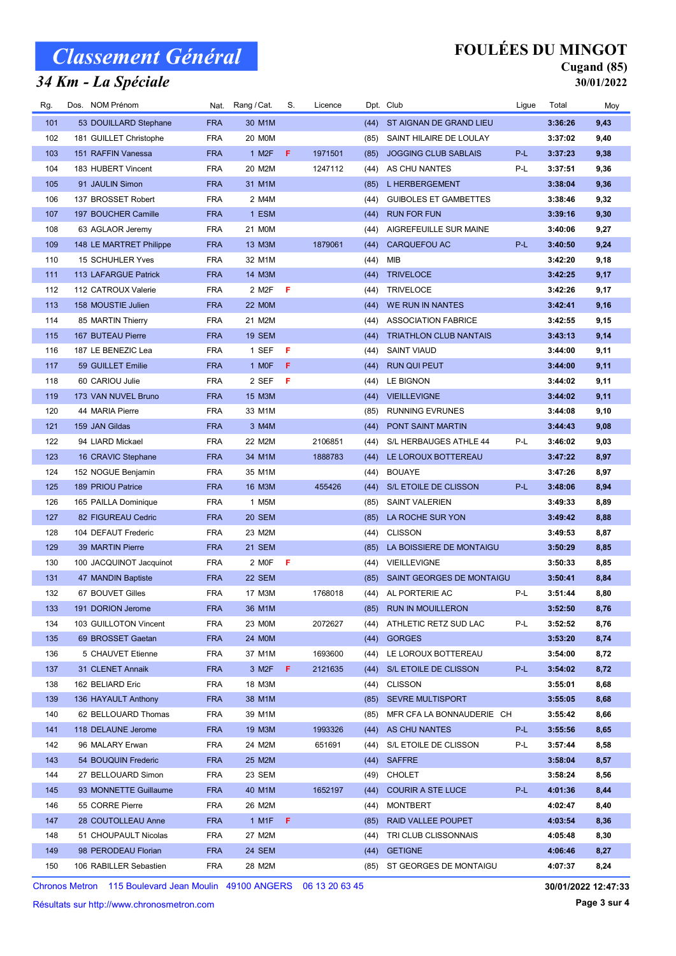### 34 Km - La Spéciale

## FOULÉES DU MINGOT

## Cugand (85)

30/01/2022

| Rg. | Dos. NOM Prénom         | Nat.       | Rang / Cat.                   | S. | Licence |      | Dpt. Club                     | Ligue | Total   | Moy  |
|-----|-------------------------|------------|-------------------------------|----|---------|------|-------------------------------|-------|---------|------|
| 101 | 53 DOUILLARD Stephane   | <b>FRA</b> | 30 M1M                        |    |         | (44) | ST AIGNAN DE GRAND LIEU       |       | 3:36:26 | 9,43 |
| 102 | 181 GUILLET Christophe  | <b>FRA</b> | 20 M0M                        |    |         | (85) | SAINT HILAIRE DE LOULAY       |       | 3:37:02 | 9,40 |
| 103 | 151 RAFFIN Vanessa      | <b>FRA</b> | 1 M <sub>2</sub> F            | F  | 1971501 | (85) | <b>JOGGING CLUB SABLAIS</b>   | P-L   | 3:37:23 | 9,38 |
| 104 | 183 HUBERT Vincent      | <b>FRA</b> | 20 M2M                        |    | 1247112 | (44) | AS CHU NANTES                 | P-L   | 3:37:51 | 9,36 |
| 105 | 91 JAULIN Simon         | <b>FRA</b> | 31 M1M                        |    |         | (85) | <b>L HERBERGEMENT</b>         |       | 3:38:04 | 9,36 |
| 106 | 137 BROSSET Robert      | <b>FRA</b> | 2 M4M                         |    |         | (44) | <b>GUIBOLES ET GAMBETTES</b>  |       | 3:38:46 | 9,32 |
| 107 | 197 BOUCHER Camille     | <b>FRA</b> | 1 ESM                         |    |         | (44) | <b>RUN FOR FUN</b>            |       | 3:39:16 | 9,30 |
| 108 | 63 AGLAOR Jeremy        | <b>FRA</b> | 21 M0M                        |    |         | (44) | AIGREFEUILLE SUR MAINE        |       | 3:40:06 | 9,27 |
| 109 | 148 LE MARTRET Philippe | <b>FRA</b> | 13 M3M                        |    | 1879061 | (44) | CARQUEFOU AC                  | P-L   | 3:40:50 | 9,24 |
| 110 | 15 SCHUHLER Yves        | <b>FRA</b> | 32 M1M                        |    |         | (44) | MIB                           |       | 3:42:20 | 9,18 |
| 111 | 113 LAFARGUE Patrick    | <b>FRA</b> | 14 M3M                        |    |         | (44) | <b>TRIVELOCE</b>              |       | 3:42:25 | 9,17 |
| 112 | 112 CATROUX Valerie     | <b>FRA</b> | 2 M <sub>2</sub> F            | F  |         | (44) | <b>TRIVELOCE</b>              |       | 3:42:26 | 9,17 |
| 113 | 158 MOUSTIE Julien      | <b>FRA</b> | <b>22 MOM</b>                 |    |         | (44) | WE RUN IN NANTES              |       | 3:42:41 | 9,16 |
| 114 | 85 MARTIN Thierry       | <b>FRA</b> | 21 M2M                        |    |         | (44) | <b>ASSOCIATION FABRICE</b>    |       | 3:42:55 | 9,15 |
| 115 | 167 BUTEAU Pierre       | <b>FRA</b> | <b>19 SEM</b>                 |    |         | (44) | <b>TRIATHLON CLUB NANTAIS</b> |       | 3:43:13 | 9,14 |
| 116 | 187 LE BENEZIC Lea      | <b>FRA</b> | 1 SEF                         | F  |         | (44) | <b>SAINT VIAUD</b>            |       | 3:44:00 | 9,11 |
| 117 | 59 GUILLET Emilie       | <b>FRA</b> | 1 MOF                         | F  |         | (44) | <b>RUN QUI PEUT</b>           |       | 3:44:00 | 9,11 |
| 118 | 60 CARIOU Julie         | <b>FRA</b> | 2 SEF                         | F  |         | (44) | LE BIGNON                     |       | 3:44:02 | 9,11 |
| 119 | 173 VAN NUVEL Bruno     | <b>FRA</b> | 15 M3M                        |    |         | (44) | <b>VIEILLEVIGNE</b>           |       | 3:44:02 | 9,11 |
| 120 | 44 MARIA Pierre         | <b>FRA</b> | 33 M1M                        |    |         | (85) | <b>RUNNING EVRUNES</b>        |       | 3:44:08 | 9,10 |
| 121 | 159 JAN Gildas          | <b>FRA</b> | 3 M4M                         |    |         | (44) | PONT SAINT MARTIN             |       | 3:44:43 | 9,08 |
| 122 | 94 LIARD Mickael        | <b>FRA</b> | 22 M2M                        |    | 2106851 | (44) | S/L HERBAUGES ATHLE 44        | P-L   | 3:46:02 | 9,03 |
| 123 | 16 CRAVIC Stephane      | <b>FRA</b> | 34 M1M                        |    | 1888783 | (44) | LE LOROUX BOTTEREAU           |       | 3:47:22 | 8,97 |
| 124 | 152 NOGUE Benjamin      | <b>FRA</b> | 35 M1M                        |    |         | (44) | <b>BOUAYE</b>                 |       | 3:47:26 | 8,97 |
| 125 | 189 PRIOU Patrice       | <b>FRA</b> | 16 M3M                        |    | 455426  | (44) | S/L ETOILE DE CLISSON         | P-L   | 3:48:06 | 8,94 |
| 126 | 165 PAILLA Dominique    | <b>FRA</b> | 1 M5M                         |    |         | (85) | <b>SAINT VALERIEN</b>         |       | 3:49:33 | 8,89 |
| 127 | 82 FIGUREAU Cedric      | <b>FRA</b> | 20 SEM                        |    |         | (85) | LA ROCHE SUR YON              |       | 3:49:42 | 8,88 |
| 128 | 104 DEFAUT Frederic     | <b>FRA</b> | 23 M2M                        |    |         | (44) | <b>CLISSON</b>                |       | 3:49:53 | 8,87 |
| 129 | 39 MARTIN Pierre        | <b>FRA</b> | 21 SEM                        |    |         | (85) | LA BOISSIERE DE MONTAIGU      |       | 3:50:29 | 8,85 |
| 130 | 100 JACQUINOT Jacquinot | <b>FRA</b> | 2 MOF                         | F  |         | (44) | VIEILLEVIGNE                  |       | 3:50:33 | 8,85 |
| 131 | 47 MANDIN Baptiste      | <b>FRA</b> | 22 SEM                        |    |         | (85) | SAINT GEORGES DE MONTAIGU     |       | 3:50:41 | 8,84 |
| 132 | 67 BOUVET Gilles        | <b>FRA</b> | 17 M3M                        |    | 1768018 | (44) | AL PORTERIE AC                | P-L   | 3:51:44 | 8,80 |
| 133 | 191 DORION Jerome       | <b>FRA</b> | 36 M1M                        |    |         |      | (85) RUN IN MOUILLERON        |       | 3:52:50 | 8,76 |
| 134 | 103 GUILLOTON Vincent   | <b>FRA</b> | 23 MOM                        |    | 2072627 |      | (44) ATHLETIC RETZ SUD LAC    | P-L   | 3:52:52 | 8,76 |
| 135 | 69 BROSSET Gaetan       | <b>FRA</b> | 24 M0M                        |    |         | (44) | <b>GORGES</b>                 |       | 3:53:20 | 8,74 |
| 136 | 5 CHAUVET Etienne       | <b>FRA</b> | 37 M1M                        |    | 1693600 | (44) | LE LOROUX BOTTEREAU           |       | 3:54:00 | 8,72 |
| 137 | 31 CLENET Annaik        | <b>FRA</b> | $3 M2F$ F                     |    | 2121635 | (44) | S/L ETOILE DE CLISSON         | P-L   | 3:54:02 | 8,72 |
| 138 | 162 BELIARD Eric        | <b>FRA</b> | 18 M3M                        |    |         | (44) | <b>CLISSON</b>                |       | 3:55:01 | 8,68 |
| 139 | 136 HAYAULT Anthony     | <b>FRA</b> | 38 M1M                        |    |         | (85) | <b>SEVRE MULTISPORT</b>       |       | 3:55:05 | 8,68 |
| 140 | 62 BELLOUARD Thomas     | <b>FRA</b> | 39 M1M                        |    |         | (85) | MFR CFA LA BONNAUDERIE CH     |       | 3:55:42 | 8,66 |
| 141 | 118 DELAUNE Jerome      | <b>FRA</b> | 19 M3M                        |    | 1993326 | (44) | AS CHU NANTES                 | P-L   | 3:55:56 | 8,65 |
| 142 | 96 MALARY Erwan         | <b>FRA</b> | 24 M2M                        |    | 651691  | (44) | S/L ETOILE DE CLISSON         | P-L   | 3:57:44 | 8,58 |
| 143 | 54 BOUQUIN Frederic     | <b>FRA</b> | 25 M2M                        |    |         | (44) | SAFFRE                        |       | 3:58:04 | 8,57 |
| 144 | 27 BELLOUARD Simon      | FRA        | 23 SEM                        |    |         | (49) | <b>CHOLET</b>                 |       | 3:58:24 | 8,56 |
| 145 | 93 MONNETTE Guillaume   | <b>FRA</b> | 40 M1M                        |    | 1652197 | (44) | <b>COURIR A STE LUCE</b>      | P-L   | 4:01:36 | 8,44 |
| 146 | 55 CORRE Pierre         | <b>FRA</b> | 26 M2M                        |    |         | (44) | MONTBERT                      |       | 4:02:47 | 8,40 |
| 147 | 28 COUTOLLEAU Anne      | <b>FRA</b> | 1 M <sub>1</sub> $F$ <b>F</b> |    |         | (85) | RAID VALLEE POUPET            |       | 4:03:54 | 8,36 |
| 148 | 51 CHOUPAULT Nicolas    | <b>FRA</b> | 27 M2M                        |    |         | (44) | TRI CLUB CLISSONNAIS          |       | 4:05:48 | 8,30 |
| 149 | 98 PERODEAU Florian     | <b>FRA</b> | 24 SEM                        |    |         | (44) | <b>GETIGNE</b>                |       | 4:06:46 | 8,27 |
| 150 | 106 RABILLER Sebastien  | <b>FRA</b> | 28 M2M                        |    |         | (85) | ST GEORGES DE MONTAIGU        |       | 4:07:37 | 8,24 |
|     |                         |            |                               |    |         |      |                               |       |         |      |

Chronos Metron 115 Boulevard Jean Moulin 49100 ANGERS 06 13 20 63 45